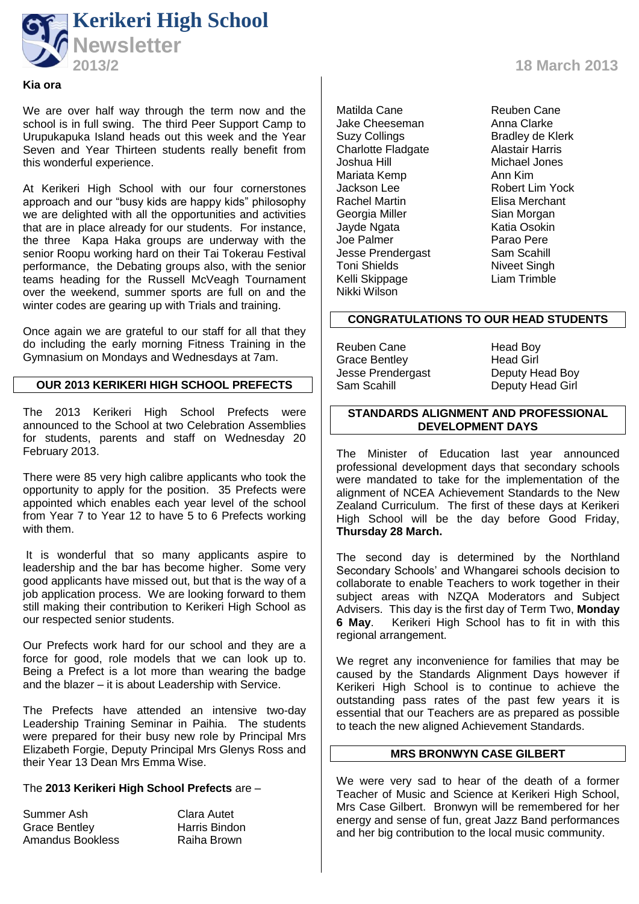

#### **Kia ora**

We are over half way through the term now and the school is in full swing. The third Peer Support Camp to Urupukapuka Island heads out this week and the Year Seven and Year Thirteen students really benefit from this wonderful experience.

At Kerikeri High School with our four cornerstones approach and our "busy kids are happy kids" philosophy we are delighted with all the opportunities and activities that are in place already for our students. For instance, the three Kapa Haka groups are underway with the senior Roopu working hard on their Tai Tokerau Festival performance, the Debating groups also, with the senior teams heading for the Russell McVeagh Tournament over the weekend, summer sports are full on and the winter codes are gearing up with Trials and training.

Once again we are grateful to our staff for all that they do including the early morning Fitness Training in the Gymnasium on Mondays and Wednesdays at 7am.

# **OUR 2013 KERIKERI HIGH SCHOOL PREFECTS**

The 2013 Kerikeri High School Prefects were announced to the School at two Celebration Assemblies for students, parents and staff on Wednesday 20 February 2013.

There were 85 very high calibre applicants who took the opportunity to apply for the position. 35 Prefects were appointed which enables each year level of the school from Year 7 to Year 12 to have 5 to 6 Prefects working with them.

It is wonderful that so many applicants aspire to leadership and the bar has become higher. Some very good applicants have missed out, but that is the way of a job application process. We are looking forward to them still making their contribution to Kerikeri High School as our respected senior students.

Our Prefects work hard for our school and they are a force for good, role models that we can look up to. Being a Prefect is a lot more than wearing the badge and the blazer – it is about Leadership with Service.

The Prefects have attended an intensive two-day Leadership Training Seminar in Paihia. The students were prepared for their busy new role by Principal Mrs Elizabeth Forgie, Deputy Principal Mrs Glenys Ross and their Year 13 Dean Mrs Emma Wise.

## The **2013 Kerikeri High School Prefects** are –

Summer Ash Clara Autet<br>Grace Bentley Clara Harris Bindon Grace Bentley Amandus Bookless Raiha Brown

**2013/2 18 March 2013**

Matilda Cane **Reuben Cane**<br>Jake Cheeseman **Rang Cana** Clarke Jake Cheeseman<br>Suzy Collings Charlotte Fladgate<br>Joshua Hill Mariata Kemp<br>Jackson Lee Jackson Lee **Robert Lim Yock**<br>Rachel Martin **Rachel Rachel Martin** Georgia Miller Sian Morgan Jayde Ngata Katia Osokin Joe Palmer<br>Jesse Prendergast **Parao Pere**<br>Sam Scahill Jesse Prendergast Sam Scahill<br>Toni Shields Sam Scahill Toni Shields Niveet Singh<br>
Kelli Skippage Manus Liam Trimble Kelli Skippage Nikki Wilson

Bradley de Klerk<br>Alastair Harris Michael Jones<br>Ann Kim Elisa Merchant

#### **CONGRATULATIONS TO OUR HEAD STUDENTS**

Reuben Cane Head Boy Grace Bentley<br>
Jesse Prendergast<br>
Deputy Head Boy Jesse Prendergast<br>Sam Scahill

Deputy Head Girl

## **STANDARDS ALIGNMENT AND PROFESSIONAL DEVELOPMENT DAYS**

The Minister of Education last year announced professional development days that secondary schools were mandated to take for the implementation of the alignment of NCEA Achievement Standards to the New Zealand Curriculum. The first of these days at Kerikeri High School will be the day before Good Friday, **Thursday 28 March.** 

The second day is determined by the Northland Secondary Schools' and Whangarei schools decision to collaborate to enable Teachers to work together in their subject areas with NZQA Moderators and Subject Advisers. This day is the first day of Term Two, **Monday 6 May**. Kerikeri High School has to fit in with this regional arrangement.

We regret any inconvenience for families that may be caused by the Standards Alignment Days however if Kerikeri High School is to continue to achieve the outstanding pass rates of the past few years it is essential that our Teachers are as prepared as possible to teach the new aligned Achievement Standards.

## **MRS BRONWYN CASE GILBERT**

We were very sad to hear of the death of a former Teacher of Music and Science at Kerikeri High School, Mrs Case Gilbert. Bronwyn will be remembered for her energy and sense of fun, great Jazz Band performances and her big contribution to the local music community.